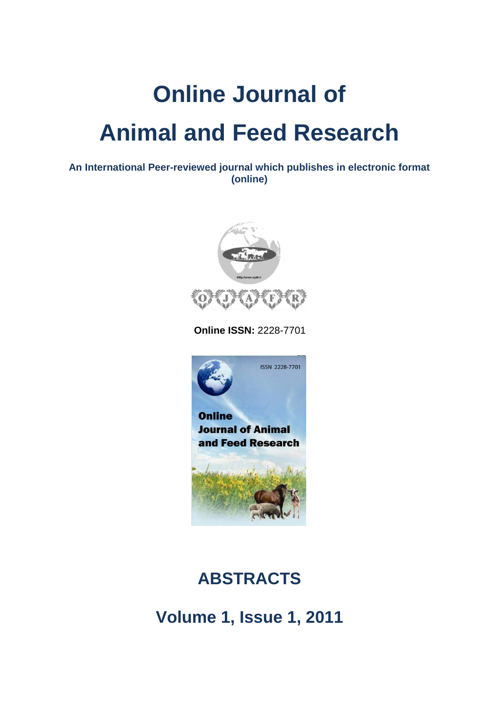## **Online Journal of Animal and Feed Research**

**An International Peer-reviewed journal which publishes in electronic format (online)**



 **Online ISSN:** 2228-7701



## **ABSTRACTS**

**Volume 1, Issue 1, 2011**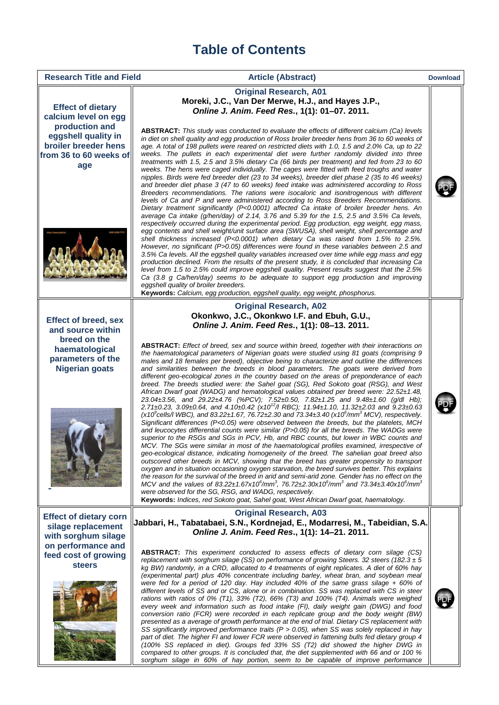## **Table of Contents**